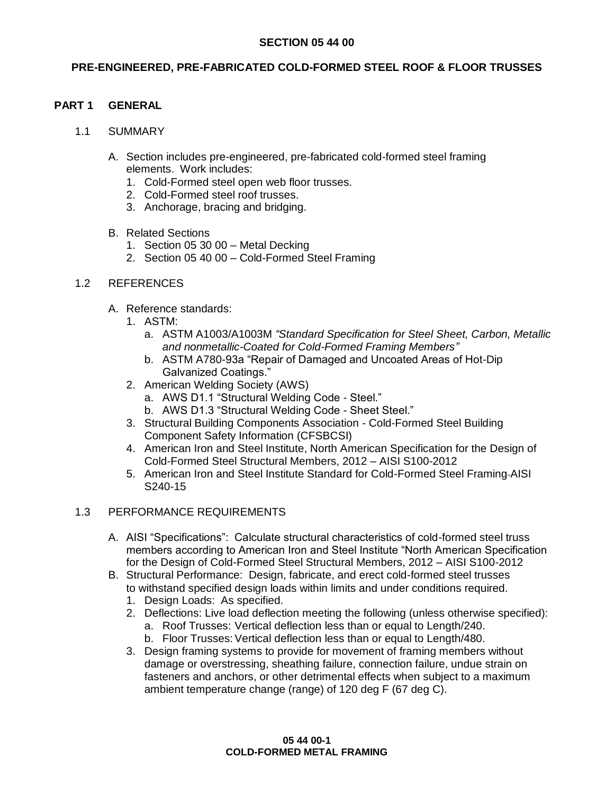## **SECTION 05 44 00**

## **PRE-ENGINEERED, PRE-FABRICATED COLD-FORMED STEEL ROOF & FLOOR TRUSSES**

### **PART 1 GENERAL**

#### 1.1 SUMMARY

- A. Section includes pre-engineered, pre-fabricated cold-formed steel framing elements. Work includes:
	- 1. Cold-Formed steel open web floor trusses.
	- 2. Cold-Formed steel roof trusses.
	- 3. Anchorage, bracing and bridging.
- B. Related Sections
	- 1. Section 05 30 00 Metal Decking
	- 2. Section 05 40 00 Cold-Formed Steel Framing

## 1.2 REFERENCES

- A. Reference standards:
	- 1. ASTM:
		- a. ASTM A1003/A1003M *"Standard Specification for Steel Sheet, Carbon, Metallic and nonmetallic-Coated for Cold-Formed Framing Members"*
		- b. ASTM A780-93a "Repair of Damaged and Uncoated Areas of Hot-Dip Galvanized Coatings."
	- 2. American Welding Society (AWS)
		- a. AWS D1.1 "Structural Welding Code Steel."
		- b. AWS D1.3 "Structural Welding Code Sheet Steel."
	- 3. Structural Building Components Association Cold-Formed Steel Building Component Safety Information (CFSBCSI)
	- 4. American Iron and Steel Institute, North American Specification for the Design of Cold-Formed Steel Structural Members, 2012 – AISI S100-2012
	- 5. American Iron and Steel Institute Standard for Cold-Formed Steel Framing AISI S240-15

#### 1.3 PERFORMANCE REQUIREMENTS

- A. AISI "Specifications": Calculate structural characteristics of cold-formed steel truss members according to American Iron and Steel Institute "North American Specification for the Design of Cold-Formed Steel Structural Members, 2012 – AISI S100-2012
- B. Structural Performance: Design, fabricate, and erect cold-formed steel trusses to withstand specified design loads within limits and under conditions required.
	- 1. Design Loads: As specified.
	- 2. Deflections: Live load deflection meeting the following (unless otherwise specified): a. Roof Trusses: Vertical deflection less than or equal to Length/240.
		- b. Floor Trusses: Vertical deflection less than or equal to Length/480.
	- 3. Design framing systems to provide for movement of framing members without damage or overstressing, sheathing failure, connection failure, undue strain on fasteners and anchors, or other detrimental effects when subject to a maximum ambient temperature change (range) of 120 deg F (67 deg C).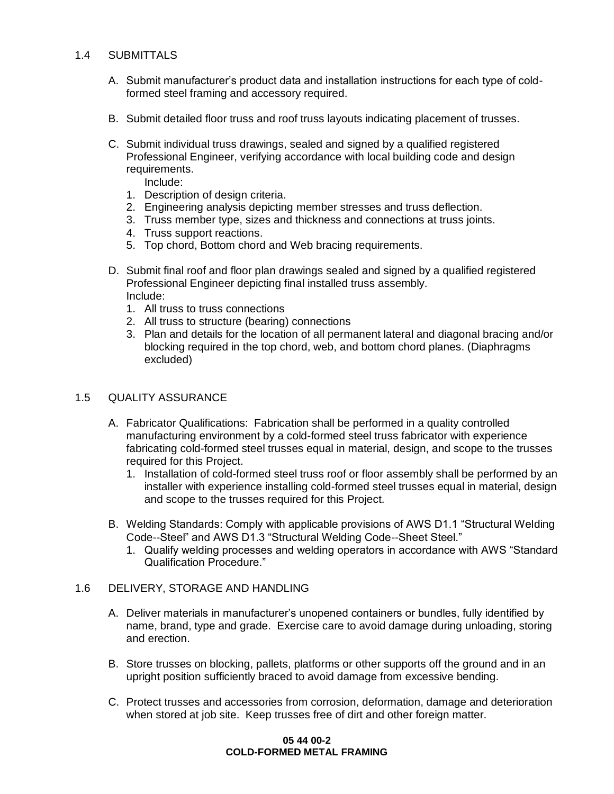## 1.4 SUBMITTALS

- A. Submit manufacturer's product data and installation instructions for each type of coldformed steel framing and accessory required.
- B. Submit detailed floor truss and roof truss layouts indicating placement of trusses.
- C. Submit individual truss drawings, sealed and signed by a qualified registered Professional Engineer, verifying accordance with local building code and design requirements.
	- Include:
	- 1. Description of design criteria.
	- 2. Engineering analysis depicting member stresses and truss deflection.
	- 3. Truss member type, sizes and thickness and connections at truss joints.
	- 4. Truss support reactions.
	- 5. Top chord, Bottom chord and Web bracing requirements.
- D. Submit final roof and floor plan drawings sealed and signed by a qualified registered Professional Engineer depicting final installed truss assembly. Include:
	- 1. All truss to truss connections
	- 2. All truss to structure (bearing) connections
	- 3. Plan and details for the location of all permanent lateral and diagonal bracing and/or blocking required in the top chord, web, and bottom chord planes. (Diaphragms excluded)

## 1.5 QUALITY ASSURANCE

- A. Fabricator Qualifications: Fabrication shall be performed in a quality controlled manufacturing environment by a cold-formed steel truss fabricator with experience fabricating cold-formed steel trusses equal in material, design, and scope to the trusses required for this Project.
	- 1. Installation of cold-formed steel truss roof or floor assembly shall be performed by an installer with experience installing cold-formed steel trusses equal in material, design and scope to the trusses required for this Project.
- B. Welding Standards: Comply with applicable provisions of AWS D1.1 "Structural Welding Code--Steel" and AWS D1.3 "Structural Welding Code--Sheet Steel."
	- 1. Qualify welding processes and welding operators in accordance with AWS "Standard Qualification Procedure."

#### 1.6 DELIVERY, STORAGE AND HANDLING

- A. Deliver materials in manufacturer's unopened containers or bundles, fully identified by name, brand, type and grade. Exercise care to avoid damage during unloading, storing and erection.
- B. Store trusses on blocking, pallets, platforms or other supports off the ground and in an upright position sufficiently braced to avoid damage from excessive bending.
- C. Protect trusses and accessories from corrosion, deformation, damage and deterioration when stored at job site. Keep trusses free of dirt and other foreign matter.

#### **05 44 00-2 COLD-FORMED METAL FRAMING**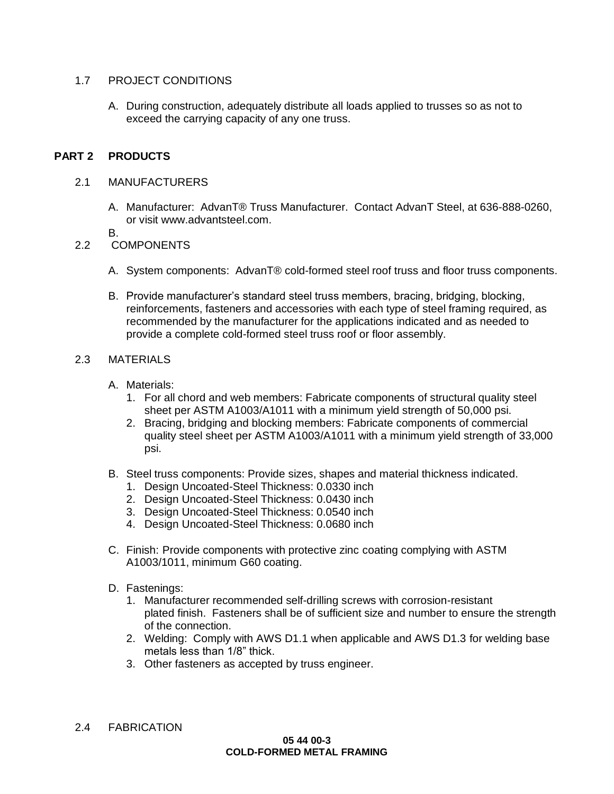## 1.7 PROJECT CONDITIONS

A. During construction, adequately distribute all loads applied to trusses so as not to exceed the carrying capacity of any one truss.

## **PART 2 PRODUCTS**

#### 2.1 MANUFACTURERS

- A. Manufacturer: AdvanT® Truss Manufacturer. Contact AdvanT Steel, at 636-888-0260, or visit www.advantsteel.com.
- B.

### 2.2 COMPONENTS

- A. System components: AdvanT® cold-formed steel roof truss and floor truss components.
- B. Provide manufacturer's standard steel truss members, bracing, bridging, blocking, reinforcements, fasteners and accessories with each type of steel framing required, as recommended by the manufacturer for the applications indicated and as needed to provide a complete cold-formed steel truss roof or floor assembly.

### 2.3 MATERIALS

- A. Materials:
	- 1. For all chord and web members: Fabricate components of structural quality steel sheet per ASTM A1003/A1011 with a minimum yield strength of 50,000 psi.
	- 2. Bracing, bridging and blocking members: Fabricate components of commercial quality steel sheet per ASTM A1003/A1011 with a minimum yield strength of 33,000 psi.
- B. Steel truss components: Provide sizes, shapes and material thickness indicated.
	- 1. Design Uncoated-Steel Thickness: 0.0330 inch
	- 2. Design Uncoated-Steel Thickness: 0.0430 inch
	- 3. Design Uncoated-Steel Thickness: 0.0540 inch
	- 4. Design Uncoated-Steel Thickness: 0.0680 inch
- C. Finish: Provide components with protective zinc coating complying with ASTM A1003/1011, minimum G60 coating.
- D. Fastenings:
	- 1. Manufacturer recommended self-drilling screws with corrosion-resistant plated finish. Fasteners shall be of sufficient size and number to ensure the strength of the connection.
	- 2. Welding: Comply with AWS D1.1 when applicable and AWS D1.3 for welding base metals less than 1/8" thick.
	- 3. Other fasteners as accepted by truss engineer.
- 2.4 FABRICATION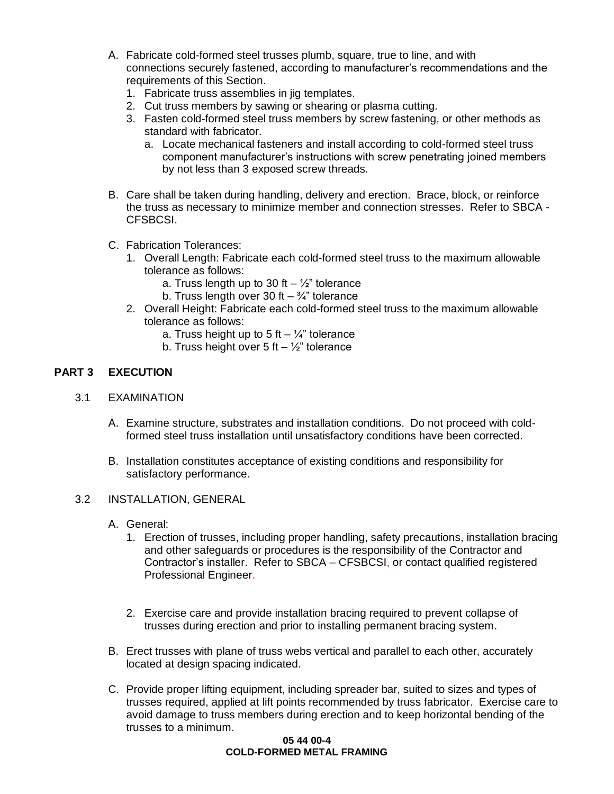- A. Fabricate cold-formed steel trusses plumb, square, true to line, and with connections securely fastened, according to manufacturer's recommendations and the requirements of this Section.
	- 1. Fabricate truss assemblies in jig templates.
	- 2. Cut truss members by sawing or shearing or plasma cutting.
	- 3. Fasten cold-formed steel truss members by screw fastening, or other methods as standard with fabricator.
		- a. Locate mechanical fasteners and install according to cold-formed steel truss component manufacturer's instructions with screw penetrating joined members by not less than 3 exposed screw threads.
- B. Care shall be taken during handling, delivery and erection. Brace, block, or reinforce the truss as necessary to minimize member and connection stresses. Refer to SBCA - CFSBCSI.
- C. Fabrication Tolerances:
	- 1. Overall Length: Fabricate each cold-formed steel truss to the maximum allowable tolerance as follows:
		- a. Truss length up to 30 ft  $\frac{1}{2}$ " tolerance
		- b. Truss length over 30 ft  $-$  <sup>3</sup>/<sub>4</sub>" tolerance
	- 2. Overall Height: Fabricate each cold-formed steel truss to the maximum allowable tolerance as follows:
		- a. Truss height up to 5 ft  $\frac{1}{4}$ " tolerance
		- b. Truss height over 5 ft  $\frac{1}{2}$ " tolerance

## **PART 3 EXECUTION**

- 3.1 EXAMINATION
	- A. Examine structure, substrates and installation conditions. Do not proceed with coldformed steel truss installation until unsatisfactory conditions have been corrected.
	- B. Installation constitutes acceptance of existing conditions and responsibility for satisfactory performance.
- 3.2 INSTALLATION, GENERAL
	- A. General:
		- 1. Erection of trusses, including proper handling, safety precautions, installation bracing and other safeguards or procedures is the responsibility of the Contractor and Contractor's installer. Refer to SBCA – CFSBCSI, or contact qualified registered Professional Engineer.
		- 2. Exercise care and provide installation bracing required to prevent collapse of trusses during erection and prior to installing permanent bracing system.
	- B. Erect trusses with plane of truss webs vertical and parallel to each other, accurately located at design spacing indicated.
	- C. Provide proper lifting equipment, including spreader bar, suited to sizes and types of trusses required, applied at lift points recommended by truss fabricator. Exercise care to avoid damage to truss members during erection and to keep horizontal bending of the trusses to a minimum.

#### **05 44 00-4 COLD-FORMED METAL FRAMING**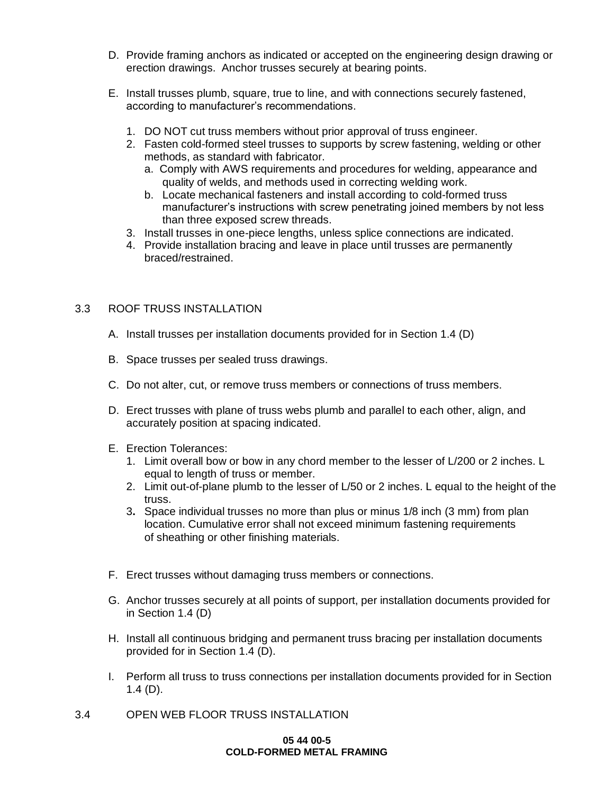- D. Provide framing anchors as indicated or accepted on the engineering design drawing or erection drawings. Anchor trusses securely at bearing points.
- E. Install trusses plumb, square, true to line, and with connections securely fastened, according to manufacturer's recommendations.
	- 1. DO NOT cut truss members without prior approval of truss engineer.
	- 2. Fasten cold-formed steel trusses to supports by screw fastening, welding or other methods, as standard with fabricator.
		- a. Comply with AWS requirements and procedures for welding, appearance and quality of welds, and methods used in correcting welding work.
		- b. Locate mechanical fasteners and install according to cold-formed truss manufacturer's instructions with screw penetrating joined members by not less than three exposed screw threads.
	- 3. Install trusses in one-piece lengths, unless splice connections are indicated.
	- 4. Provide installation bracing and leave in place until trusses are permanently braced/restrained.

## 3.3 ROOF TRUSS INSTALLATION

- A. Install trusses per installation documents provided for in Section 1.4 (D)
- B. Space trusses per sealed truss drawings.
- C. Do not alter, cut, or remove truss members or connections of truss members.
- D. Erect trusses with plane of truss webs plumb and parallel to each other, align, and accurately position at spacing indicated.
- E. Erection Tolerances:
	- 1. Limit overall bow or bow in any chord member to the lesser of L/200 or 2 inches. L equal to length of truss or member.
	- 2. Limit out-of-plane plumb to the lesser of L/50 or 2 inches. L equal to the height of the truss.
	- 3**.** Space individual trusses no more than plus or minus 1/8 inch (3 mm) from plan location. Cumulative error shall not exceed minimum fastening requirements of sheathing or other finishing materials.
- F. Erect trusses without damaging truss members or connections.
- G. Anchor trusses securely at all points of support, per installation documents provided for in Section 1.4 (D)
- H. Install all continuous bridging and permanent truss bracing per installation documents provided for in Section 1.4 (D).
- I. Perform all truss to truss connections per installation documents provided for in Section 1.4 (D).
- 3.4 OPEN WEB FLOOR TRUSS INSTALLATION

#### **05 44 00-5 COLD-FORMED METAL FRAMING**